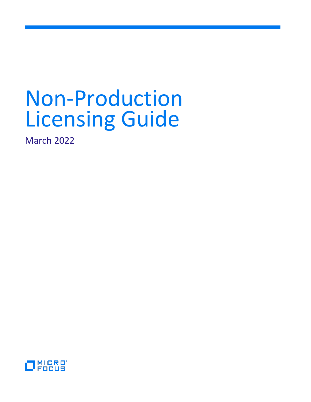# Non-Production Licensing Guide

March 2022

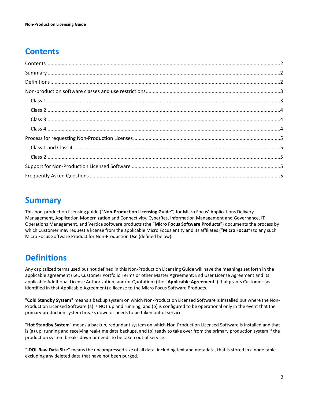# <span id="page-1-0"></span>**Contents**

# <span id="page-1-1"></span>**Summary**

This non-production licensing guide ("**Non-Production Licensing Guide**") for Micro Focus' Applications Delivery Management, Application Modernization and Connectivity, CyberRes, Information Management and Governance, IT Operations Management, and Vertica software products (the "**Micro Focus Software Products**") documents the process by which Customer may request a license from the applicable Micro Focus entity and its affiliates ("**Micro Focus**") to any such Micro Focus Software Product for Non-Production Use (defined below).

# <span id="page-1-2"></span>**Definitions**

Any capitalized terms used but not defined in this Non-Production Licensing Guide will have the meanings set forth in the applicable agreement (i.e., Customer Portfolio Terms or other Master Agreement; End User License Agreement and its applicable Additional License Authorization; and/or Quotation) (the "**Applicable Agreement**") that grants Customer (as identified in that Applicable Agreement) a license to the Micro Focus Software Products.

"**Cold Standby System**" means a backup system on which Non-Production Licensed Software is installed but where the Non-Production Licensed Software (a) is NOT up and running, and (b) is configured to be operational only in the event that the primary production system breaks down or needs to be taken out of service.

"**Hot Standby System**" means a backup, redundant system on which Non-Production Licensed Software is installed and that is (a) up, running and receiving real-time data backups, and (b) ready to take over from the primary production system if the production system breaks down or needs to be taken out of service.

"**IDOL Raw Data Size**" means the uncompressed size of all data, including text and metadata, that is stored in a node table excluding any deleted data that have not been purged.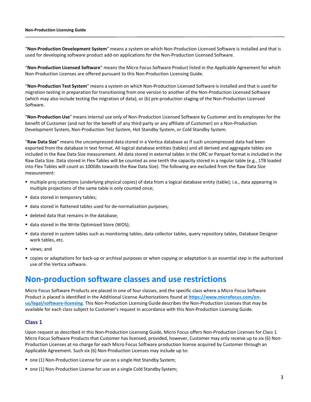"**Non-Production Development System**" means a system on which Non-Production Licensed Software is installed and that is used for developing software product add-on applications for the Non-Production Licensed Software.

"**Non-Production Licensed Software**" means the Micro Focus Software Product listed in the Applicable Agreement for which Non-Production Licenses are offered pursuant to this Non-Production Licensing Guide.

"**Non-Production Test System**" means a system on which Non-Production Licensed Software is installed and that is used for migration testing in preparation for transitioning from one version to another of the Non-Production Licensed Software (which may also include testing the migration of data), or (b) pre-production staging of the Non-Production Licensed Software.

"**Non-Production Use**" means internal use only of Non-Production Licensed Software by Customer and its employees for the benefit of Customer (and not for the benefit of any third party or any affiliate of Customer) on a Non-Production Development System, Non-Production Test System, Hot Standby System, or Cold Standby System.

"**Raw Data Size**" means the uncompressed data stored in a Vertica database as if such uncompressed data had been exported from the database in text format. All logical database entities (tables) and all derived and aggregate tables are included in the Raw Data Size measurement. All data stored in external tables in the ORC or Parquet format is included in the Raw Data Size. Data stored in Flex Tables will be counted as one tenth the capacity stored in a regular table (e.g., 1TB loaded into Flex Tables will count as 100GBs towards the Raw Data Size). The following are excluded from the Raw Data Size measurement:

- multiple proj catections (underlying physical copies) of data from a logical database entity (table); i.e., data appearing in multiple projections of the same table is only counted once;
- data stored in temporary tables;
- data stored in flattened tables used for de-normalization purposes;
- deleted data that remains in the database;
- data stored in the Write Optimized Store (WOS);
- data stored in system tables such as monitoring tables, data collector tables, query repository tables, Database Designer work tables, etc.
- views; and
- copies or adaptations for back-up or archival purposes or when copying or adaptation is an essential step in the authorized use of the Vertica software.

## <span id="page-2-0"></span>**Non-production software classes and use restrictions**

Micro Focus Software Products are placed in one of four classes, and the specific class where a Micro Focus Software Product is placed is identified in the Additional License Authorizations found at **[https://www.microfocus.com/en](https://www.microfocus.com/en-us/legal/software-licensing)[us/legal/software-licensing](https://www.microfocus.com/en-us/legal/software-licensing)**. This Non-Production Licensing Guide describes the Non-Production Licenses that may be available for each class subject to Customer's request in accordance with this Non-Production Licensing Guide.

## <span id="page-2-1"></span>**Class 1**

Upon request as described in this Non-Production Licensing Guide, Micro Focus offers Non-Production Licenses for Class 1 Micro Focus Software Products that Customer has licensed, provided, however, Customer may only receive up to six (6) Non-Production Licenses at no charge for each Micro Focus Software production license acquired by Customer through an Applicable Agreement. Such six (6) Non-Production Licenses may include up to:

- one (1) Non-Production License for use on a single Hot Standby System;
- one (1) Non-Production License for use on a single Cold Standby System;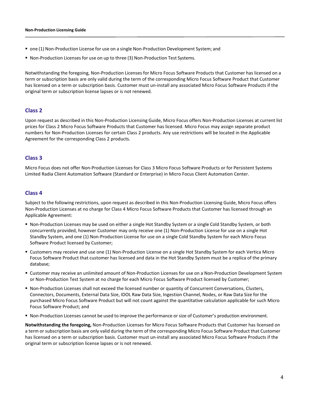- one (1) Non-Production License for use on a single Non-Production Development System; and
- Non-Production Licenses for use on up to three (3) Non-Production Test Systems.

Notwithstanding the foregoing, Non-Production Licenses for Micro Focus Software Products that Customer has licensed on a term or subscription basis are only valid during the term of the corresponding Micro Focus Software Product that Customer has licensed on a term or subscription basis. Customer must un-install any associated Micro Focus Software Products if the original term or subscription license lapses or is not renewed.

## <span id="page-3-0"></span>**Class 2**

Upon request as described in this Non-Production Licensing Guide, Micro Focus offers Non-Production Licenses at current list prices for Class 2 Micro Focus Software Products that Customer has licensed. Micro Focus may assign separate product numbers for Non-Production Licenses for certain Class 2 products. Any use restrictions will be located in the Applicable Agreement for the corresponding Class 2 products.

## <span id="page-3-1"></span>**Class 3**

Micro Focus does not offer Non-Production Licenses for Class 3 Micro Focus Software Products or for Persistent Systems Limited Radia Client Automation Software (Standard or Enterprise) in Micro Focus Client Automation Center.

### <span id="page-3-2"></span>**Class 4**

Subject to the following restrictions, upon request as described in this Non-Production Licensing Guide, Micro Focus offers Non-Production Licenses at no charge for Class 4 Micro Focus Software Products that Customer has licensed through an Applicable Agreement:

- Non-Production Licenses may be used on either a single Hot Standby System or a single Cold Standby System, or both concurrently provided, however Customer may only receive one (1) Non-Production License for use on a single Hot Standby System, and one (1) Non-Production License for use on a single Cold Standby System for each Micro Focus Software Product licensed by Customer;
- Customers may receive and use one (1) Non-Production License on a single Hot Standby System for each Vertica Micro Focus Software Product that customer has licensed and data in the Hot Standby System must be a replica of the primary database;
- Customer may receive an unlimited amount of Non-Production Licenses for use on a Non-Production Development System or Non-Production Test System at no charge for each Micro Focus Software Product licensed by Customer;
- Non-Production Licenses shall not exceed the licensed number or quantity of Concurrent Conversations, Clusters, Connectors, Documents, External Data Size, IDOL Raw Data Size, Ingestion Channel, Nodes, or Raw Data Size for the purchased Micro Focus Software Product but will not count against the quantitative calculation applicable for such Micro Focus Software Product; and
- Non-Production Licenses cannot be used to improve the performance orsize of Customer's production environment.

<span id="page-3-3"></span>**Notwithstanding the foregoing,** Non-Production Licenses for Micro Focus Software Products that Customer has licensed on a term or subscription basis are only valid during the term of the corresponding Micro Focus Software Product that Customer has licensed on a term or subscription basis. Customer must un-install any associated Micro Focus Software Products if the original term or subscription license lapses or is not renewed.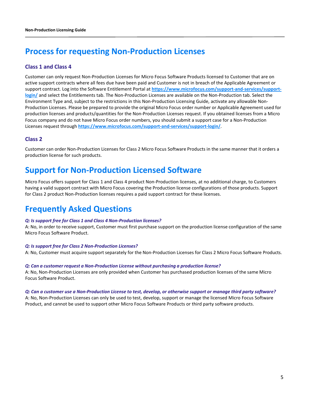# **Process for requesting Non-Production Licenses**

## <span id="page-4-0"></span>**Class 1 and Class 4**

Customer can only request Non-Production Licenses for Micro Focus Software Products licensed to Customer that are on active support contracts where all fees due have been paid and Customer is not in breach of the Applicable Agreement or support contract. Log into the Software Entitlement Portal at **[https://www.microfocus.com/support-and-services/support](https://www.microfocus.com/support-and-services/support-login/)[login/](https://www.microfocus.com/support-and-services/support-login/)** and select the Entitlements tab. The Non-Production Licenses are available on the Non-Production tab. Select the Environment Type and, subject to the restrictions in this Non-Production Licensing Guide, activate any allowable Non-Production Licenses. Please be prepared to provide the original Micro Focus order number or Applicable Agreement used for production licenses and products/quantities for the Non-Production Licenses request. If you obtained licenses from a Micro Focus company and do not have Micro Focus order numbers, you should submit a support case for a Non-Production Licenses request through **https:/[/www.microfocus.com/support-and-services/support-login/](http://www.microfocus.com/support-and-services/support-login/)**.

## <span id="page-4-1"></span>**Class 2**

Customer can order Non-Production Licenses for Class 2 Micro Focus Software Products in the same manner that it orders a production license for such products.

# <span id="page-4-2"></span>**Support for Non-Production Licensed Software**

Micro Focus offers support for Class 1 and Class 4 product Non-Production licenses, at no additional charge, to Customers having a valid support contract with Micro Focus covering the Production license configurations of those products. Support for Class 2 product Non-Production licenses requires a paid support contract for these licenses.

## <span id="page-4-3"></span>**Frequently Asked Questions**

#### *Q: Is support free for Class 1 and Class 4 Non-Production licenses?*

A: No, in order to receive support, Customer must first purchase support on the production license configuration of the same Micro Focus Software Product.

#### *Q: Is support free for Class 2 Non-Production Licenses?*

A: No, Customer must acquire support separately for the Non-Production Licenses for Class 2 Micro Focus Software Products.

#### *Q: Can a customer request a Non-Production License without purchasing a production license?*

A: No, Non-Production Licenses are only provided when Customer has purchased production licenses of the same Micro Focus Software Product.

#### *Q: Can a customer use a Non-Production License to test, develop, or otherwise support or manage third party software?*

A: No, Non-Production Licenses can only be used to test, develop, support or manage the licensed Micro Focus Software Product, and cannot be used to support other Micro Focus Software Products or third party software products.